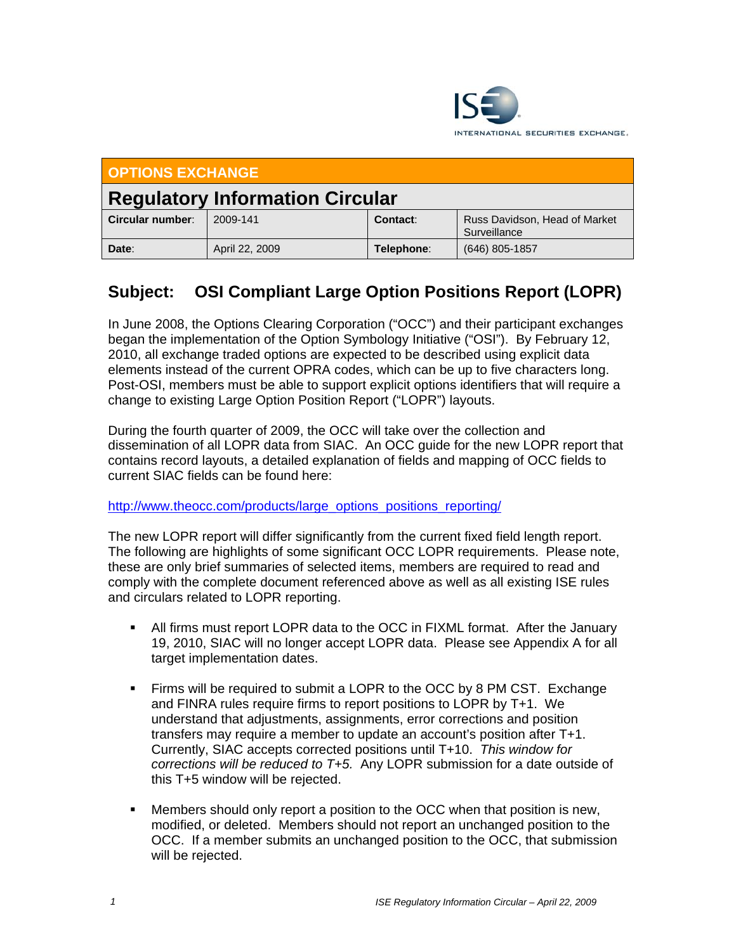

| <b>OPTIONS EXCHANGE</b>                |                |            |                                               |  |
|----------------------------------------|----------------|------------|-----------------------------------------------|--|
| <b>Regulatory Information Circular</b> |                |            |                                               |  |
| Circular number:                       | 2009-141       | Contact:   | Russ Davidson, Head of Market<br>Surveillance |  |
| Date:                                  | April 22, 2009 | Telephone: | $(646)$ 805-1857                              |  |

## **Subject: OSI Compliant Large Option Positions Report (LOPR)**

In June 2008, the Options Clearing Corporation ("OCC") and their participant exchanges began the implementation of the Option Symbology Initiative ("OSI"). By February 12, 2010, all exchange traded options are expected to be described using explicit data elements instead of the current OPRA codes, which can be up to five characters long. Post-OSI, members must be able to support explicit options identifiers that will require a change to existing Large Option Position Report ("LOPR") layouts.

During the fourth quarter of 2009, the OCC will take over the collection and dissemination of all LOPR data from SIAC. An OCC guide for the new LOPR report that contains record layouts, a detailed explanation of fields and mapping of OCC fields to current SIAC fields can be found here:

## http://www.theocc.com/products/large\_options\_positions\_reporting/

The new LOPR report will differ significantly from the current fixed field length report. The following are highlights of some significant OCC LOPR requirements. Please note, these are only brief summaries of selected items, members are required to read and comply with the complete document referenced above as well as all existing ISE rules and circulars related to LOPR reporting.

- All firms must report LOPR data to the OCC in FIXML format. After the January 19, 2010, SIAC will no longer accept LOPR data. Please see Appendix A for all target implementation dates.
- Firms will be required to submit a LOPR to the OCC by 8 PM CST. Exchange and FINRA rules require firms to report positions to LOPR by T+1. We understand that adjustments, assignments, error corrections and position transfers may require a member to update an account's position after T+1. Currently, SIAC accepts corrected positions until T+10. *This window for corrections will be reduced to T+5.* Any LOPR submission for a date outside of this T+5 window will be rejected.
- Members should only report a position to the OCC when that position is new, modified, or deleted. Members should not report an unchanged position to the OCC. If a member submits an unchanged position to the OCC, that submission will be rejected.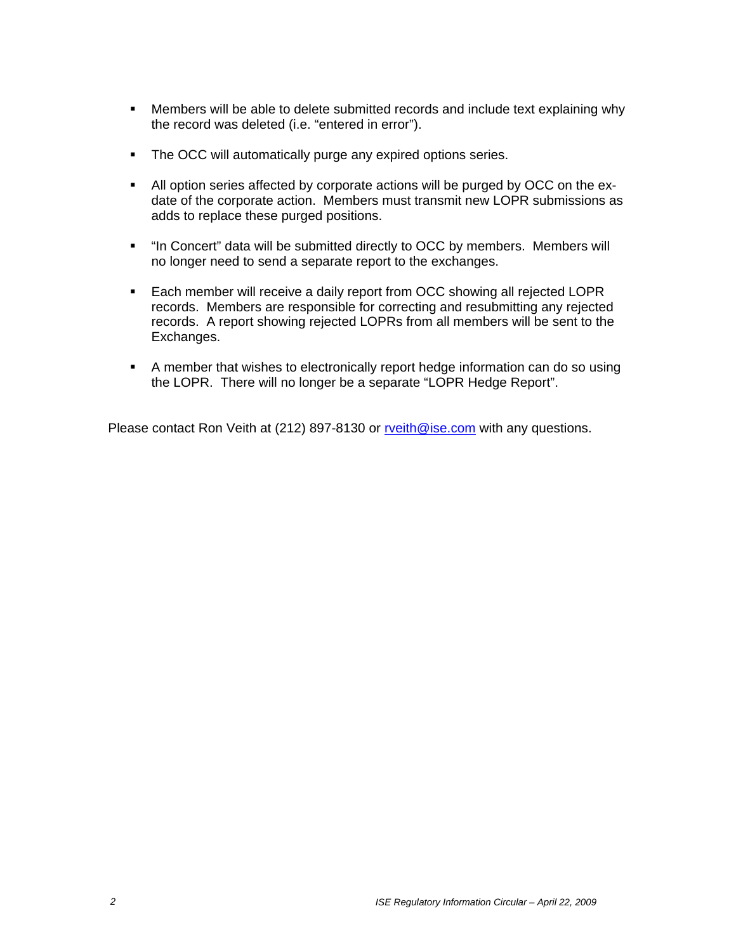- Members will be able to delete submitted records and include text explaining why the record was deleted (i.e. "entered in error").
- The OCC will automatically purge any expired options series.
- All option series affected by corporate actions will be purged by OCC on the exdate of the corporate action. Members must transmit new LOPR submissions as adds to replace these purged positions.
- "In Concert" data will be submitted directly to OCC by members. Members will no longer need to send a separate report to the exchanges.
- Each member will receive a daily report from OCC showing all rejected LOPR records. Members are responsible for correcting and resubmitting any rejected records. A report showing rejected LOPRs from all members will be sent to the Exchanges.
- A member that wishes to electronically report hedge information can do so using the LOPR. There will no longer be a separate "LOPR Hedge Report".

Please contact Ron Veith at (212) 897-8130 or rveith@ise.com with any questions.